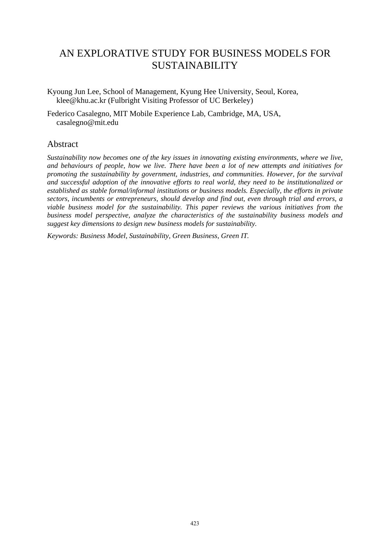# AN EXPLORATIVE STUDY FOR BUSINESS MODELS FOR SUSTAINABILITY

Kyoung Jun Lee, School of Management, Kyung Hee University, Seoul, Korea, klee@khu.ac.kr (Fulbright Visiting Professor of UC Berkeley)

Federico Casalegno, MIT Mobile Experience Lab, Cambridge, MA, USA, casalegno@mit.edu

### Abstract

*Sustainability now becomes one of the key issues in innovating existing environments, where we live, and behaviours of people, how we live. There have been a lot of new attempts and initiatives for promoting the sustainability by government, industries, and communities. However, for the survival and successful adoption of the innovative efforts to real world, they need to be institutionalized or established as stable formal/informal institutions or business models. Especially, the efforts in private sectors, incumbents or entrepreneurs, should develop and find out, even through trial and errors, a viable business model for the sustainability. This paper reviews the various initiatives from the business model perspective, analyze the characteristics of the sustainability business models and suggest key dimensions to design new business models for sustainability.* 

*Keywords: Business Model, Sustainability, Green Business, Green IT.*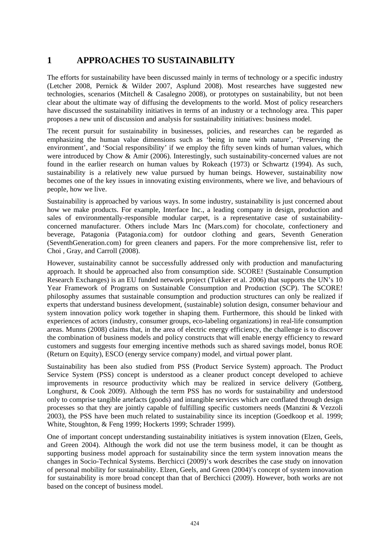## **1 APPROACHES TO SUSTAINABILITY**

The efforts for sustainability have been discussed mainly in terms of technology or a specific industry (Letcher 2008, Pernick & Wilder 2007, Asplund 2008). Most researches have suggested new technologies, scenarios (Mitchell & Casalegno 2008), or prototypes on sustainability, but not been clear about the ultimate way of diffusing the developments to the world. Most of policy researchers have discussed the sustainability initiatives in terms of an industry or a technology area. This paper proposes a new unit of discussion and analysis for sustainability initiatives: business model.

The recent pursuit for sustainability in businesses, policies, and researches can be regarded as emphasizing the human value dimensions such as 'being in tune with nature', 'Preserving the environment', and 'Social responsibility' if we employ the fifty seven kinds of human values, which were introduced by Chow & Amir (2006). Interestingly, such sustainability-concerned values are not found in the earlier research on human values by Rokeach (1973) or Schwartz (1994). As such, sustainability is a relatively new value pursued by human beings. However, sustainability now becomes one of the key issues in innovating existing environments, where we live, and behaviours of people, how we live.

Sustainability is approached by various ways. In some industry, sustainability is just concerned about how we make products. For example, Interface Inc., a leading company in design, production and sales of environmentally-responsible modular carpet, is a representative case of sustainabilityconcerned manufacturer. Others include Mars Inc (Mars.com) for chocolate, confectionery and beverage, Patagonia (Patagonia.com) for outdoor clothing and gears, Seventh Generation (SeventhGeneration.com) for green cleaners and papers. For the more comprehensive list, refer to Choi , Gray, and Carroll (2008).

However, sustainability cannot be successfully addressed only with production and manufacturing approach. It should be approached also from consumption side. SCORE! (Sustainable Consumption Research Exchanges) is an EU funded network project (Tukker et al. 2006) that supports the UN's 10 Year Framework of Programs on Sustainable Consumption and Production (SCP). The SCORE! philosophy assumes that sustainable consumption and production structures can only be realized if experts that understand business development, (sustainable) solution design, consumer behaviour and system innovation policy work together in shaping them. Furthermore, this should be linked with experiences of actors (industry, consumer groups, eco-labeling organizations) in real-life consumption areas. Munns (2008) claims that, in the area of electric energy efficiency, the challenge is to discover the combination of business models and policy constructs that will enable energy efficiency to reward customers and suggests four emerging incentive methods such as shared savings model, bonus ROE (Return on Equity), ESCO (energy service company) model, and virtual power plant.

Sustainability has been also studied from PSS (Product Service System) approach. The Product Service System (PSS) concept is understood as a cleaner product concept developed to achieve improvements in resource productivity which may be realized in service delivery (Gottberg, Longhurst, & Cook 2009). Although the term PSS has no words for sustainability and understood only to comprise tangible artefacts (goods) and intangible services which are conflated through design processes so that they are jointly capable of fulfilling specific customers needs (Manzini & Vezzoli 2003), the PSS have been much related to sustainability since its inception (Goedkoop et al. 1999; White, Stoughton, & Feng 1999; Hockerts 1999; Schrader 1999).

One of important concept understanding sustainability initiatives is system innovation (Elzen, Geels, and Green 2004). Although the work did not use the term business model, it can be thought as supporting business model approach for sustainability since the term system innovation means the changes in Socio-Technical Systems. Berchicci (2009)'s work describes the case study on innovation of personal mobility for sustainability. Elzen, Geels, and Green (2004)'s concept of system innovation for sustainability is more broad concept than that of Berchicci (2009). However, both works are not based on the concept of business model.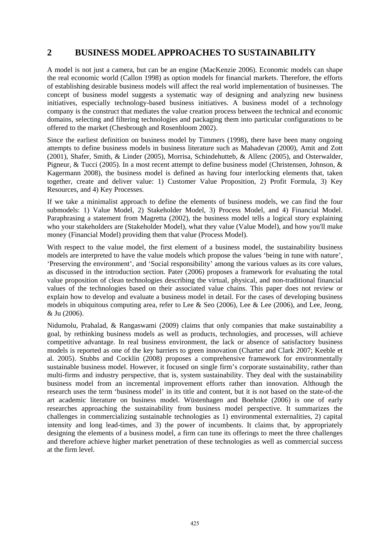### **2 BUSINESS MODEL APPROACHES TO SUSTAINABILITY**

A model is not just a camera, but can be an engine (MacKenzie 2006). Economic models can shape the real economic world (Callon 1998) as option models for financial markets. Therefore, the efforts of establishing desirable business models will affect the real world implementation of businesses. The concept of business model suggests a systematic way of designing and analyzing new business initiatives, especially technology-based business initiatives. A business model of a technology company is the construct that mediates the value creation process between the technical and economic domains, selecting and filtering technologies and packaging them into particular configurations to be offered to the market (Chesbrough and Rosenbloom 2002).

Since the earliest definition on business model by Timmers (1998), there have been many ongoing attempts to define business models in business literature such as Mahadevan (2000), Amit and Zott (2001), Shafer, Smith, & Linder (2005), Morrisa, Schindehutteb, & Allenc (2005), and Osterwalder, Pigneur, & Tucci (2005). In a most recent attempt to define business model (Christensen, Johnson, & Kagermann 2008), the business model is defined as having four interlocking elements that, taken together, create and deliver value: 1) Customer Value Proposition, 2) Profit Formula, 3) Key Resources, and 4) Key Processes.

If we take a minimalist approach to define the elements of business models, we can find the four submodels: 1) Value Model, 2) Stakeholder Model, 3) Process Model, and 4) Financial Model. Paraphrasing a statement from Magretta (2002), the business model tells a logical story explaining who your stakeholders are (Stakeholder Model), what they value (Value Model), and how you'll make money (Financial Model) providing them that value (Process Model).

With respect to the value model, the first element of a business model, the sustainability business models are interpreted to have the value models which propose the values 'being in tune with nature', 'Preserving the environment', and 'Social responsibility' among the various values as its core values, as discussed in the introduction section. Pater (2006) proposes a framework for evaluating the total value proposition of clean technologies describing the virtual, physical, and non-traditional financial values of the technologies based on their associated value chains. This paper does not review or explain how to develop and evaluate a business model in detail. For the cases of developing business models in ubiquitous computing area, refer to Lee & Seo (2006), Lee & Lee (2006), and Lee, Jeong, & Ju (2006).

Nidumolu, Prahalad, & Rangaswami (2009) claims that only companies that make sustainability a goal, by rethinking business models as well as products, technologies, and processes, will achieve competitive advantage. In real business environment, the lack or absence of satisfactory business models is reported as one of the key barriers to green innovation (Charter and Clark 2007; Keeble et al. 2005). Stubbs and Cocklin (2008) proposes a comprehensive framework for environmentally sustainable business model. However, it focused on single firm's corporate sustainability, rather than multi-firms and industry perspective, that is, system sustainability. They deal with the sustainability business model from an incremental improvement efforts rather than innovation. Although the research uses the term 'business model' in its title and content, but it is not based on the state-of-the art academic literature on business model. Wüstenhagen and Boehnke (2006) is one of early researches approaching the sustainability from business model perspective. It summarizes the challenges in commercializing sustainable technologies as 1) environmental externalities, 2) capital intensity and long lead-times, and 3) the power of incumbents. It claims that, by appropriately designing the elements of a business model, a firm can tune its offerings to meet the three challenges and therefore achieve higher market penetration of these technologies as well as commercial success at the firm level.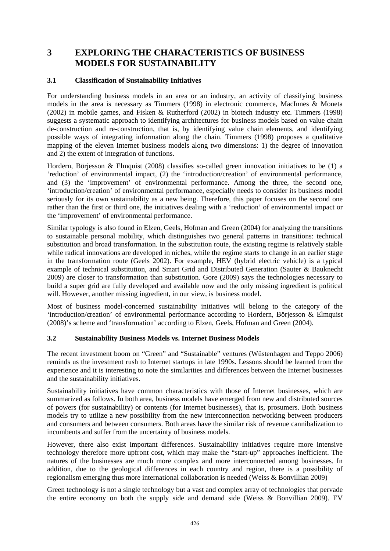## **3 EXPLORING THE CHARACTERISTICS OF BUSINESS MODELS FOR SUSTAINABILITY**

#### **3.1 Classification of Sustainability Initiatives**

For understanding business models in an area or an industry, an activity of classifying business models in the area is necessary as Timmers (1998) in electronic commerce, MacInnes & Moneta (2002) in mobile games, and Fisken & Rutherford (2002) in biotech industry etc. Timmers (1998) suggests a systematic approach to identifying architectures for business models based on value chain de-construction and re-construction, that is, by identifying value chain elements, and identifying possible ways of integrating information along the chain. Timmers (1998) proposes a qualitative mapping of the eleven Internet business models along two dimensions: 1) the degree of innovation and 2) the extent of integration of functions.

Hordern, Börjesson & Elmquist (2008) classifies so-called green innovation initiatives to be (1) a 'reduction' of environmental impact, (2) the 'introduction/creation' of environmental performance, and (3) the 'improvement' of environmental performance. Among the three, the second one, 'introduction/creation' of environmental performance, especially needs to consider its business model seriously for its own sustainability as a new being. Therefore, this paper focuses on the second one rather than the first or third one, the initiatives dealing with a 'reduction' of environmental impact or the 'improvement' of environmental performance.

Similar typology is also found in Elzen, Geels, Hofman and Green (2004) for analyzing the transitions to sustainable personal mobility, which distinguishes two general patterns in transitions: technical substitution and broad transformation. In the substitution route, the existing regime is relatively stable while radical innovations are developed in niches, while the regime starts to change in an earlier stage in the transformation route (Geels 2002). For example, HEV (hybrid electric vehicle) is a typical example of technical substitution, and Smart Grid and Distributed Generation (Sauter & Bauknecht 2009) are closer to transformation than substitution. Gore (2009) says the technologies necessary to build a super grid are fully developed and available now and the only missing ingredient is political will. However, another missing ingredient, in our view, is business model.

Most of business model-concerned sustainability initiatives will belong to the category of the 'introduction/creation' of environmental performance according to Hordern, Börjesson & Elmquist (2008)'s scheme and 'transformation' according to Elzen, Geels, Hofman and Green (2004).

#### **3.2 Sustainability Business Models vs. Internet Business Models**

The recent investment boom on "Green" and "Sustainable" ventures (Wüstenhagen and Teppo 2006) reminds us the investment rush to Internet startups in late 1990s. Lessons should be learned from the experience and it is interesting to note the similarities and differences between the Internet businesses and the sustainability initiatives.

Sustainability initiatives have common characteristics with those of Internet businesses, which are summarized as follows. In both area, business models have emerged from new and distributed sources of powers (for sustainability) or contents (for Internet businesses), that is, prosumers. Both business models try to utilize a new possibility from the new interconnection networking between producers and consumers and between consumers. Both areas have the similar risk of revenue cannibalization to incumbents and suffer from the uncertainty of business models.

However, there also exist important differences. Sustainability initiatives require more intensive technology therefore more upfront cost, which may make the "start-up" approaches inefficient. The natures of the businesses are much more complex and more interconnected among businesses. In addition, due to the geological differences in each country and region, there is a possibility of regionalism emerging thus more international collaboration is needed (Weiss & Bonvillian 2009)

Green technology is not a single technology but a vast and complex array of technologies that pervade the entire economy on both the supply side and demand side (Weiss & Bonvillian 2009). EV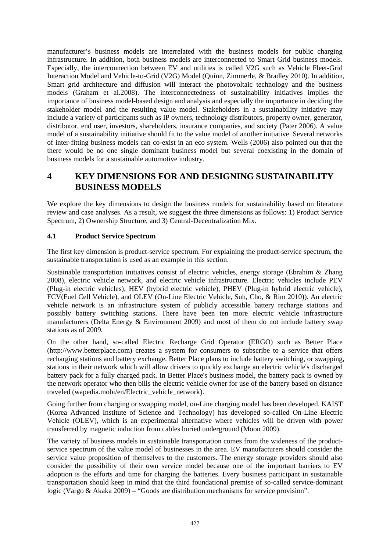manufacturer's business models are interrelated with the business models for public charging infrastructure. In addition, both business models are interconnected to Smart Grid business models. Especially, the interconnection between EV and utilities is called V2G such as Vehicle Fleet-Grid Interaction Model and Vehicle-to-Grid (V2G) Model (Quinn, Zimmerle, & Bradley 2010). In addition, Smart grid architecture and diffusion will interact the photovoltaic technology and the business models (Graham et al.2008). The interconnectedness of sustainability initiatives implies the importance of business model-based design and analysis and especially the importance in deciding the stakeholder model and the resulting value model. Stakeholders in a sustainability initiative may include a variety of participants such as IP owners, technology distributors, property owner, generator, distributor, end user, investors, shareholders, insurance companies, and society (Pater 2006). A value model of a sustainability initiative should fit to the value model of another initiative. Several networks of inter-fitting business models can co-exist in an eco system. Wells (2006) also pointed out that the there would be no one single dominant business model but several coexisting in the domain of business models for a sustainable automotive industry.

## **4 KEY DIMENSIONS FOR AND DESIGNING SUSTAINABILITY BUSINESS MODELS**

We explore the key dimensions to design the business models for sustainability based on literature review and case analyses. As a result, we suggest the three dimensions as follows: 1) Product Service Spectrum, 2) Ownership Structure, and 3) Central-Decentralization Mix.

### **4.1 Product Service Spectrum**

The first key dimension is product-service spectrum. For explaining the product-service spectrum, the sustainable transportation is used as an example in this section.

Sustainable transportation initiatives consist of electric vehicles, energy storage (Ebrahim & Zhang 2008), electric vehicle network, and electric vehicle infrastructure. Electric vehicles include PEV (Plug-in electric vehicles), HEV (hybrid electric vehicle), PHEV (Plug-in hybrid electric vehicle), FCV(Fuel Cell Vehicle), and OLEV (On-Line Electric Vehicle, Suh, Cho, & Rim 2010)). An electric vehicle network is an infrastructure system of publicly accessible battery recharge stations and possibly battery switching stations. There have been ten more electric vehicle infrastructure manufacturers (Delta Energy & Environment 2009) and most of them do not include battery swap stations as of 2009.

On the other hand, so-called Electric Recharge Grid Operator (ERGO) such as Better Place (http://www.betterplace.com) creates a system for consumers to subscribe to a service that offers recharging stations and battery exchange. Better Place plans to include battery switching, or swapping, stations in their network which will allow drivers to quickly exchange an electric vehicle's discharged battery pack for a fully charged pack. In Better Place's business model, the battery pack is owned by the network operator who then bills the electric vehicle owner for use of the battery based on distance traveled (wapedia.mobi/en/Electric\_vehicle\_network).

Going further from charging or swapping model, on-Line charging model has been developed. KAIST (Korea Advanced Institute of Science and Technology) has developed so-called On-Line Electric Vehicle (OLEV), which is an experimental alternative where vehicles will be driven with power transferred by magnetic induction from cables buried underground (Moon 2009).

The variety of business models in sustainable transportation comes from the wideness of the productservice spectrum of the value model of businesses in the area. EV manufacturers should consider the service value proposition of themselves to the customers. The energy storage providers should also consider the possibility of their own service model because one of the important barriers to EV adoption is the efforts and time for charging the batteries. Every business participant in sustainable transportation should keep in mind that the third foundational premise of so-called service-dominant logic (Vargo & Akaka 2009) – "Goods are distribution mechanisms for service provision".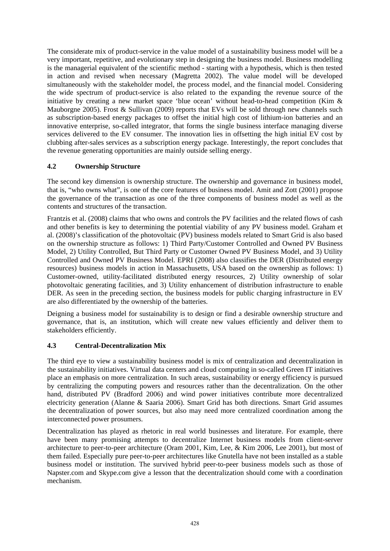The considerate mix of product-service in the value model of a sustainability business model will be a very important, repetitive, and evolutionary step in designing the business model. Business modelling is the managerial equivalent of the scientific method - starting with a hypothesis, which is then tested in action and revised when necessary (Magretta 2002). The value model will be developed simultaneously with the stakeholder model, the process model, and the financial model. Considering the wide spectrum of product-service is also related to the expanding the revenue source of the initiative by creating a new market space 'blue ocean' without head-to-head competition (Kim & Mauborgne 2005). Frost & Sullivan (2009) reports that EVs will be sold through new channels such as subscription-based energy packages to offset the initial high cost of lithium-ion batteries and an innovative enterprise, so-called integrator, that forms the single business interface managing diverse services delivered to the EV consumer. The innovation lies in offsetting the high initial EV cost by clubbing after-sales services as a subscription energy package. Interestingly, the report concludes that the revenue generating opportunities are mainly outside selling energy.

### **4.2 Ownership Structure**

The second key dimension is ownership structure. The ownership and governance in business model, that is, "who owns what", is one of the core features of business model. Amit and Zott (2001) propose the governance of the transaction as one of the three components of business model as well as the contents and structures of the transaction.

Frantzis et al. (2008) claims that who owns and controls the PV facilities and the related flows of cash and other benefits is key to determining the potential viability of any PV business model. Graham et al. (2008)'s classification of the photovoltaic (PV) business models related to Smart Grid is also based on the ownership structure as follows: 1) Third Party/Customer Controlled and Owned PV Business Model, 2) Utility Controlled, But Third Party or Customer Owned PV Business Model, and 3) Utility Controlled and Owned PV Business Model. EPRI (2008) also classifies the DER (Distributed energy resources) business models in action in Massachusetts, USA based on the ownership as follows: 1) Customer-owned, utility-facilitated distributed energy resources, 2) Utility ownership of solar photovoltaic generating facilities, and 3) Utility enhancement of distribution infrastructure to enable DER. As seen in the preceding section, the business models for public charging infrastructure in EV are also differentiated by the ownership of the batteries.

Deigning a business model for sustainability is to design or find a desirable ownership structure and governance, that is, an institution, which will create new values efficiently and deliver them to stakeholders efficiently.

### **4.3 Central-Decentralization Mix**

The third eye to view a sustainability business model is mix of centralization and decentralization in the sustainability initiatives. Virtual data centers and cloud computing in so-called Green IT initiatives place an emphasis on more centralization. In such areas, sustainability or energy efficiency is pursued by centralizing the computing powers and resources rather than the decentralization. On the other hand, distributed PV (Bradford 2006) and wind power initiatives contribute more decentralized electricity generation (Alanne & Saaria 2006). Smart Grid has both directions. Smart Grid assumes the decentralization of power sources, but also may need more centralized coordination among the interconnected power prosumers.

Decentralization has played as rhetoric in real world businesses and literature. For example, there have been many promising attempts to decentralize Internet business models from client-server architecture to peer-to-peer architecture (Oram 2001, Kim, Lee, & Kim 2006, Lee 2001), but most of them failed. Especially pure peer-to-peer architectures like Gnutella have not been installed as a stable business model or institution. The survived hybrid peer-to-peer business models such as those of Napster.com and Skype.com give a lesson that the decentralization should come with a coordination mechanism.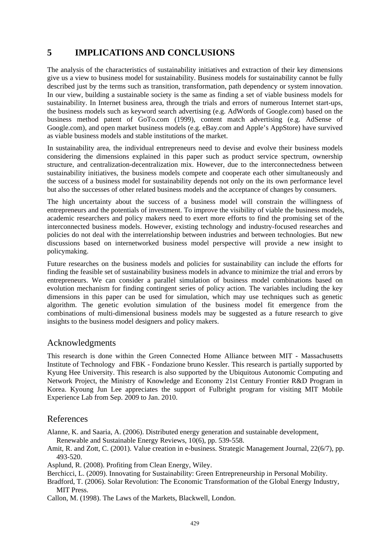### **5 IMPLICATIONS AND CONCLUSIONS**

The analysis of the characteristics of sustainability initiatives and extraction of their key dimensions give us a view to business model for sustainability. Business models for sustainability cannot be fully described iust by the terms such as transition, transformation, path dependency or system innovation. In our view, building a sustainable society is the same as finding a set of viable business models for sustainability. In Internet business area, through the trials and errors of numerous Internet start-ups, the business models such as keyword search advertising (e.g. AdWords of Google.com) based on the business method patent of GoTo.com (1999), content match advertising (e.g. AdSense of Google.com), and open market business models (e.g. eBay.com and Apple's AppStore) have survived as viable business models and stable institutions of the market.

In sustainability area, the individual entrepreneurs need to devise and evolve their business models considering the dimensions explained in this paper such as product service spectrum, ownership structure, and centralization-decentralization mix. However, due to the interconnectedness between sustainability initiatives, the business models compete and cooperate each other simultaneously and the success of a business model for sustainability depends not only on the its own performance level but also the successes of other related business models and the acceptance of changes by consumers.

The high uncertainty about the success of a business model will constrain the willingness of entrepreneurs and the potentials of investment. To improve the visibility of viable the business models, academic researchers and policy makers need to exert more efforts to find the promising set of the interconnected business models. However, existing technology and industry-focused researches and policies do not deal with the interrelationship between industries and between technologies. But new discussions based on internetworked business model perspective will provide a new insight to policymaking.

Future researches on the business models and policies for sustainability can include the efforts for finding the feasible set of sustainability business models in advance to minimize the trial and errors by entrepreneurs. We can consider a parallel simulation of business model combinations based on evolution mechanism for finding contingent series of policy action. The variables including the key dimensions in this paper can be used for simulation, which may use techniques such as genetic algorithm. The genetic evolution simulation of the business model fit emergence from the combinations of multi-dimensional business models may be suggested as a future research to give insights to the business model designers and policy makers.

### Acknowledgments

This research is done within the Green Connected Home Alliance between MIT - Massachusetts Institute of Technology and FBK - Fondazione bruno Kessler. This research is partially supported by Kyung Hee University. This research is also supported by the Ubiquitous Autonomic Computing and Network Project, the Ministry of Knowledge and Economy 21st Century Frontier R&D Program in Korea. Kyoung Jun Lee appreciates the support of Fulbright program for visiting MIT Mobile Experience Lab from Sep. 2009 to Jan. 2010.

### References

Alanne, K. and Saaria, A. (2006). Distributed energy generation and sustainable development,

Renewable and Sustainable Energy Reviews, 10(6), pp. 539-558.

Amit, R. and Zott, C. (2001). Value creation in e-business. Strategic Management Journal, 22(6/7), pp. 493-520.

Asplund, R. (2008). Profiting from Clean Energy, Wiley.

Berchicci, L. (2009). Innovating for Sustainability: Green Entrepreneurship in Personal Mobility.

Bradford, T. (2006). Solar Revolution: The Economic Transformation of the Global Energy Industry, MIT Press.

Callon, M. (1998). The Laws of the Markets, Blackwell, London.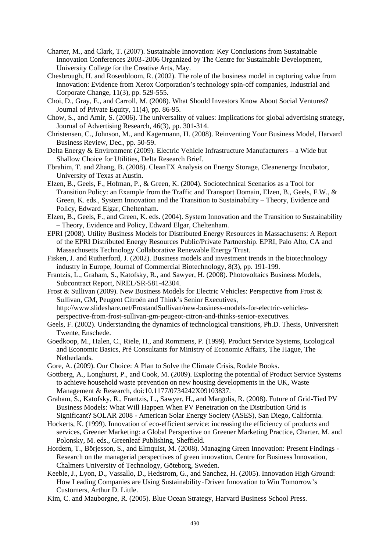- Charter, M., and Clark, T. (2007). Sustainable Innovation: Key Conclusions from Sustainable Innovation Conferences 2003-2006 Organized by The Centre for Sustainable Development, University College for the Creative Arts, May.
- Chesbrough, H. and Rosenbloom, R. (2002). The role of the business model in capturing value from innovation: Evidence from Xerox Corporation's technology spin-off companies, Industrial and Corporate Change, 11(3), pp. 529-555.
- Choi, D., Gray, E., and Carroll, M. (2008). What Should Investors Know About Social Ventures? Journal of Private Equity, 11(4), pp. 86-95.
- Chow, S., and Amir, S. (2006). The universality of values: Implications for global advertising strategy, Journal of Advertising Research, 46(3), pp. 301-314.
- Christensen, C., Johnson, M., and Kagermann, H. (2008). Reinventing Your Business Model, Harvard Business Review, Dec., pp. 50-59.
- Delta Energy & Environment (2009). Electric Vehicle Infrastructure Manufacturers a Wide but Shallow Choice for Utilities, Delta Research Brief.
- Ebrahim, T. and Zhang, B. (2008). CleanTX Analysis on Energy Storage, Cleanenergy Incubator, University of Texas at Austin.
- Elzen, B., Geels, F., Hofman, P., & Green, K. (2004). Sociotechnical Scenarios as a Tool for Transition Policy: an Example from the Traffic and Transport Domain, Elzen, B., Geels, F.W., & Green, K. eds., System Innovation and the Transition to Sustainability – Theory, Evidence and Policy, Edward Elgar, Cheltenham.
- Elzen, B., Geels, F., and Green, K. eds. (2004). System Innovation and the Transition to Sustainability – Theory, Evidence and Policy, Edward Elgar, Cheltenham.
- EPRI (2008). Utility Business Models for Distributed Energy Resources in Massachusetts: A Report of the EPRI Distributed Energy Resources Public/Private Partnership. EPRI, Palo Alto, CA and Massachusetts Technology Collaborative Renewable Energy Trust.
- Fisken, J. and Rutherford, J. (2002). Business models and investment trends in the biotechnology industry in Europe, Journal of Commercial Biotechnology, 8(3), pp. 191-199.
- Frantzis, L., Graham, S., Katofsky, R., and Sawyer, H. (2008). Photovoltaics Business Models, Subcontract Report, NREL/SR-581-42304.
- Frost & Sullivan (2009). New Business Models for Electric Vehicles: Perspective from Frost & Sullivan, GM, Peugeot Citroën and Think's Senior Executives, http://www.slideshare.net/FrostandSullivan/new-business-models-for-electric-vehiclesperspective-from-frost-sullivan-gm-peugeot-citron-and-thinks-senior-executives.
- Geels, F. (2002). Understanding the dynamics of technological transitions, Ph.D. Thesis, Universiteit Twente, Enschede.
- Goedkoop, M., Halen, C., Riele, H., and Rommens, P. (1999). Product Service Systems, Ecological and Economic Basics, Pré Consultants for Ministry of Economic Affairs, The Hague, The Netherlands.
- Gore, A. (2009). Our Choice: A Plan to Solve the Climate Crisis, Rodale Books.
- Gottberg, A., Longhurst, P., and Cook, M. (2009). Exploring the potential of Product Service Systems to achieve household waste prevention on new housing developments in the UK, Waste Management & Research, doi:10.1177/0734242X09103837.
- Graham, S., Katofsky, R., Frantzis, L., Sawyer, H., and Margolis, R. (2008). Future of Grid-Tied PV Business Models: What Will Happen When PV Penetration on the Distribution Grid is Significant? SOLAR 2008 - American Solar Energy Society (ASES), San Diego, California.
- Hockerts, K. (1999). Innovation of eco-efficient service: increasing the efficiency of products and services, Greener Marketing: a Global Perspective on Greener Marketing Practice, Charter, M. and Polonsky, M. eds., Greenleaf Publishing, Sheffield.
- Hordern, T., Börjesson, S., and Elmquist, M. (2008). Managing Green Innovation: Present Findings Research on the managerial perspectives of green innovation, Centre for Business Innovation, Chalmers University of Technology, Göteborg, Sweden.
- Keeble, J., Lyon, D., Vassallo, D., Hedstrom, G., and Sanchez, H. (2005). Innovation High Ground: How Leading Companies are Using Sustainability-Driven Innovation to Win Tomorrow's Customers, Arthur D. Little.
- Kim, C. and Mauborgne, R. (2005). Blue Ocean Strategy, Harvard Business School Press.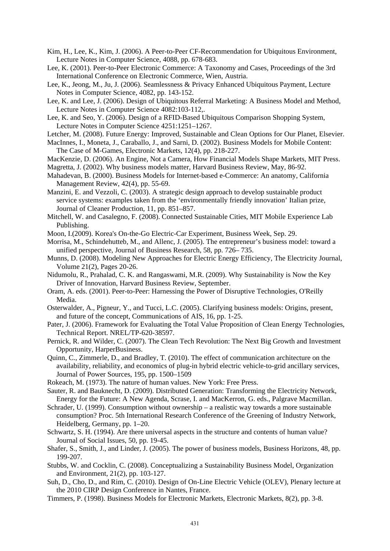- Kim, H., Lee, K., Kim, J. (2006). A Peer-to-Peer CF-Recommendation for Ubiquitous Environment, Lecture Notes in Computer Science, 4088, pp. 678-683.
- Lee, K. (2001). Peer-to-Peer Electronic Commerce: A Taxonomy and Cases, Proceedings of the 3rd International Conference on Electronic Commerce, Wien, Austria.
- Lee, K., Jeong, M., Ju, J. (2006). Seamlessness & Privacy Enhanced Ubiquitous Payment, Lecture Notes in Computer Science, 4082, pp. 143-152.
- Lee, K. and Lee, J. (2006). Design of Ubiquitous Referral Marketing: A Business Model and Method, Lecture Notes in Computer Science 4082:103-112,.
- Lee, K. and Seo, Y. (2006). Design of a RFID-Based Ubiquitous Comparison Shopping System, Lecture Notes in Computer Science 4251:1251–1267.
- Letcher, M. (2008). Future Energy: Improved, Sustainable and Clean Options for Our Planet, Elsevier.
- MacInnes, I., Moneta, J., Caraballo, J., and Sarni, D. (2002). Business Models for Mobile Content: The Case of M-Games, Electronic Markets, 12(4), pp. 218-227.
- MacKenzie, D. (2006). An Engine, Not a Camera, How Financial Models Shape Markets, MIT Press.
- Magretta, J. (2002). Why business models matter, Harvard Business Review, May, 86-92.
- Mahadevan, B. (2000). Business Models for Internet-based e-Commerce: An anatomy, California Management Review, 42(4), pp. 55-69.
- Manzini, E. and Vezzoli, C. (2003). A strategic design approach to develop sustainable product service systems: examples taken from the 'environmentally friendly innovation' Italian prize, Journal of Cleaner Production, 11, pp. 851–857.
- Mitchell, W. and Casalegno, F. (2008). Connected Sustainable Cities, MIT Mobile Experience Lab Publishing.
- Moon, I.(2009). Korea's On-the-Go Electric-Car Experiment, Business Week, Sep. 29.
- Morrisa, M., Schindehutteb, M., and Allenc, J. (2005). The entrepreneur's business model: toward a unified perspective, Journal of Business Research, 58, pp. 726– 735.
- Munns, D. (2008). Modeling New Approaches for Electric Energy Efficiency, The Electricity Journal, Volume 21(2), Pages 20-26.
- Nidumolu, R., Prahalad, C. K. and Rangaswami, M.R. (2009). Why Sustainability is Now the Key Driver of Innovation, Harvard Business Review, September.
- Oram, A. eds. (2001). Peer-to-Peer: Harnessing the Power of Disruptive Technologies, O'Reilly Media.
- Osterwalder, A., Pigneur, Y., and Tucci, L.C. (2005). Clarifying business models: Origins, present, and future of the concept, Communications of AIS, 16, pp. 1-25.
- Pater, J. (2006). Framework for Evaluating the Total Value Proposition of Clean Energy Technologies, Technical Report. NREL/TP-620-38597.
- Pernick, R. and Wilder, C. (2007). The Clean Tech Revolution: The Next Big Growth and Investment Opportunity, HarperBusiness.
- Quinn, C., Zimmerle, D., and Bradley, T. (2010). The effect of communication architecture on the availability, reliability, and economics of plug-in hybrid electric vehicle-to-grid ancillary services, Journal of Power Sources, 195, pp. 1500–1509
- Rokeach, M. (1973). The nature of human values. New York: Free Press.
- Sauter, R. and Bauknecht, D. (2009). Distributed Generation: Transforming the Electricity Network, Energy for the Future: A New Agenda, Scrase, I. and MacKerron, G. eds., Palgrave Macmillan.
- Schrader, U. (1999). Consumption without ownership a realistic way towards a more sustainable consumption? Proc. 5th International Research Conference of the Greening of Industry Network, Heidelberg, Germany, pp. 1–20.
- Schwartz, S. H. (1994). Are there universal aspects in the structure and contents of human value? Journal of Social Issues, 50, pp. 19-45.
- Shafer, S., Smith, J., and Linder, J. (2005). The power of business models, Business Horizons, 48, pp. 199-207.
- Stubbs, W. and Cocklin, C. (2008). Conceptualizing a Sustainability Business Model, Organization and Environment, 21(2), pp. 103-127.
- Suh, D., Cho, D., and Rim, C. (2010). Design of On-Line Electric Vehicle (OLEV), Plenary lecture at the 2010 CIRP Design Conference in Nantes, France.
- Timmers, P. (1998). Business Models for Electronic Markets, Electronic Markets, 8(2), pp. 3-8.